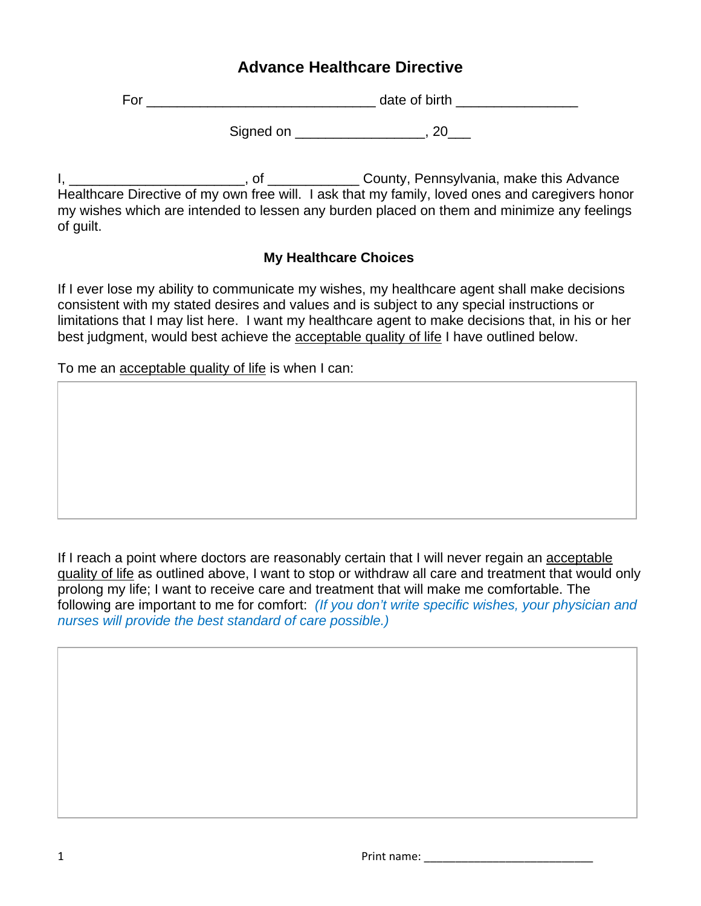## **Advance Healthcare Directive**

For \_\_\_\_\_\_\_\_\_\_\_\_\_\_\_\_\_\_\_\_\_\_\_\_\_\_\_\_\_\_ date of birth \_\_\_\_\_\_\_\_\_\_\_\_\_\_\_\_

Signed on \_\_\_\_\_\_\_\_\_\_\_\_\_\_\_\_\_\_\_\_, 20\_\_\_\_

I, \_\_\_\_\_\_\_\_\_\_\_\_\_\_\_\_\_\_\_\_\_\_\_, of \_\_\_\_\_\_\_\_\_\_\_\_ County, Pennsylvania, make this Advance Healthcare Directive of my own free will. I ask that my family, loved ones and caregivers honor my wishes which are intended to lessen any burden placed on them and minimize any feelings of guilt.

## **My Healthcare Choices**

If I ever lose my ability to communicate my wishes, my healthcare agent shall make decisions consistent with my stated desires and values and is subject to any special instructions or limitations that I may list here. I want my healthcare agent to make decisions that, in his or her best judgment, would best achieve the acceptable quality of life I have outlined below.

To me an acceptable quality of life is when I can:

If I reach a point where doctors are reasonably certain that I will never regain an acceptable quality of life as outlined above, I want to stop or withdraw all care and treatment that would only prolong my life; I want to receive care and treatment that will make me comfortable. The following are important to me for comfort: *(If you don't write specific wishes, your physician and nurses will provide the best standard of care possible.)*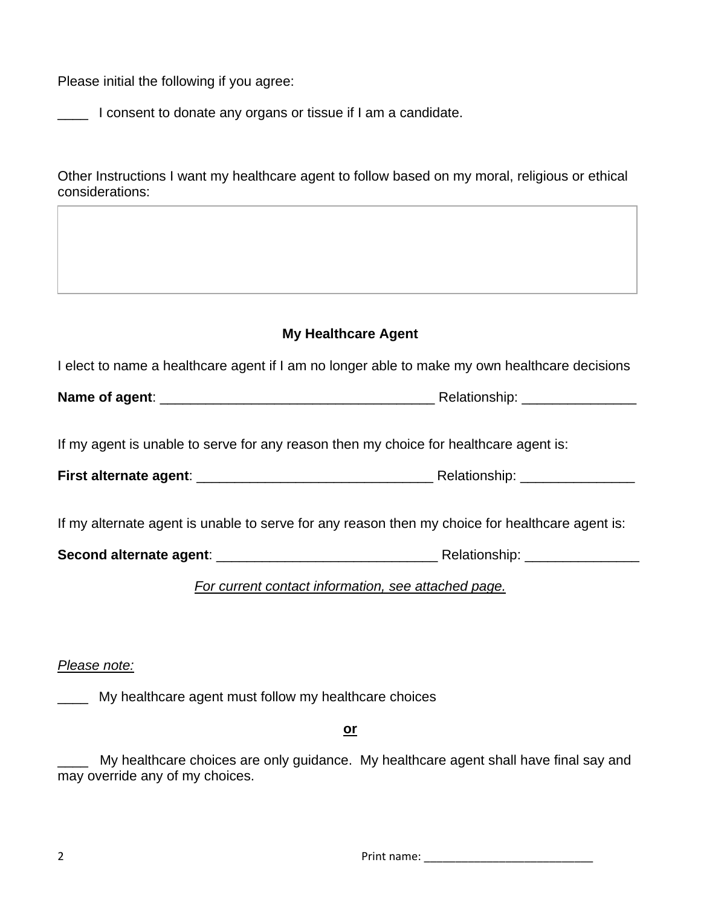Please initial the following if you agree:

\_\_\_\_ I consent to donate any organs or tissue if I am a candidate.

Other Instructions I want my healthcare agent to follow based on my moral, religious or ethical considerations:

| <b>My Healthcare Agent</b>                                                                      |  |  |
|-------------------------------------------------------------------------------------------------|--|--|
| I elect to name a healthcare agent if I am no longer able to make my own healthcare decisions   |  |  |
|                                                                                                 |  |  |
|                                                                                                 |  |  |
| If my agent is unable to serve for any reason then my choice for healthcare agent is:           |  |  |
|                                                                                                 |  |  |
|                                                                                                 |  |  |
| If my alternate agent is unable to serve for any reason then my choice for healthcare agent is: |  |  |
|                                                                                                 |  |  |
| For current contact information, see attached page.                                             |  |  |
|                                                                                                 |  |  |

*Please note:*

**Wy healthcare agent must follow my healthcare choices** 

**or**

My healthcare choices are only guidance. My healthcare agent shall have final say and may override any of my choices.

2 Print name: \_\_\_\_\_\_\_\_\_\_\_\_\_\_\_\_\_\_\_\_\_\_\_\_\_\_\_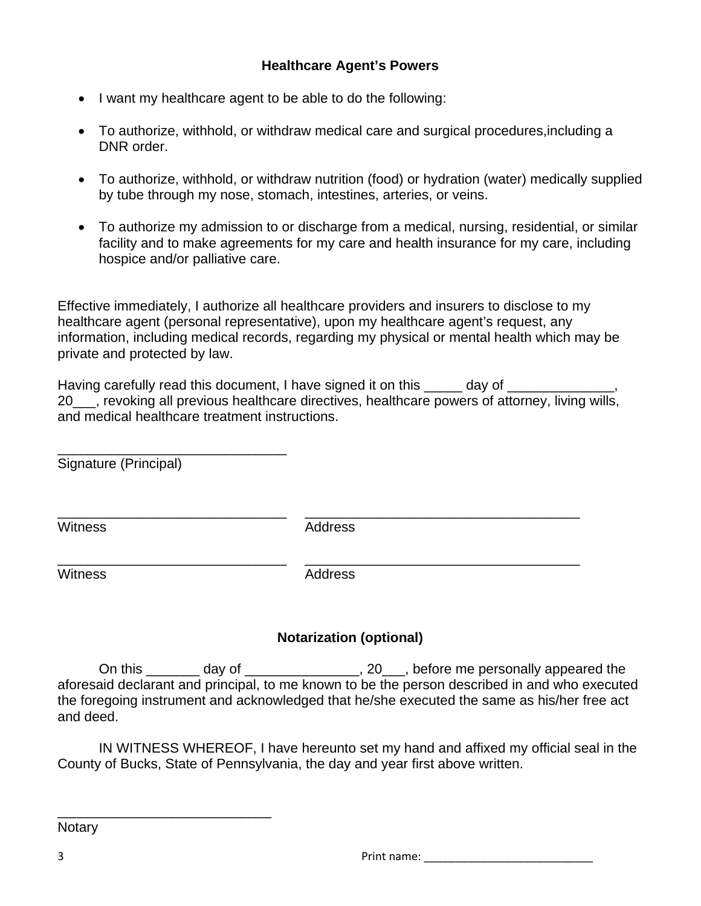- I want my healthcare agent to be able to do the following:
- To authorize, withhold, or withdraw medical care and surgical procedures,including a DNR order.
- To authorize, withhold, or withdraw nutrition (food) or hydration (water) medically supplied by tube through my nose, stomach, intestines, arteries, or veins.
- To authorize my admission to or discharge from a medical, nursing, residential, or similar facility and to make agreements for my care and health insurance for my care, including hospice and/or palliative care.

Effective immediately, I authorize all healthcare providers and insurers to disclose to my healthcare agent (personal representative), upon my healthcare agent's request, any information, including medical records, regarding my physical or mental health which may be private and protected by law.

Having carefully read this document, I have signed it on this \_\_\_\_\_ day of 20\_\_\_, revoking all previous healthcare directives, healthcare powers of attorney, living wills, and medical healthcare treatment instructions.

\_\_\_\_\_\_\_\_\_\_\_\_\_\_\_\_\_\_\_\_\_\_\_\_\_\_\_\_\_\_ Signature (Principal)

\_\_\_\_\_\_\_\_\_\_\_\_\_\_\_\_\_\_\_\_\_\_\_\_\_\_\_\_\_\_ \_\_\_\_\_\_\_\_\_\_\_\_\_\_\_\_\_\_\_\_\_\_\_\_\_\_\_\_\_\_\_\_\_\_\_\_ Witness **Address** Address

Witness **Address** 

\_\_\_\_\_\_\_\_\_\_\_\_\_\_\_\_\_\_\_\_\_\_\_\_\_\_\_\_\_\_ \_\_\_\_\_\_\_\_\_\_\_\_\_\_\_\_\_\_\_\_\_\_\_\_\_\_\_\_\_\_\_\_\_\_\_\_

## **Notarization (optional)**

On this \_\_\_\_\_\_\_ day of \_\_\_\_\_\_\_\_\_\_\_\_\_\_\_, 20\_\_\_, before me personally appeared the aforesaid declarant and principal, to me known to be the person described in and who executed the foregoing instrument and acknowledged that he/she executed the same as his/her free act and deed.

IN WITNESS WHEREOF, I have hereunto set my hand and affixed my official seal in the County of Bucks, State of Pennsylvania, the day and year first above written.

**Notary** 

\_\_\_\_\_\_\_\_\_\_\_\_\_\_\_\_\_\_\_\_\_\_\_\_\_\_\_\_

3 **Print name:**  $\blacksquare$